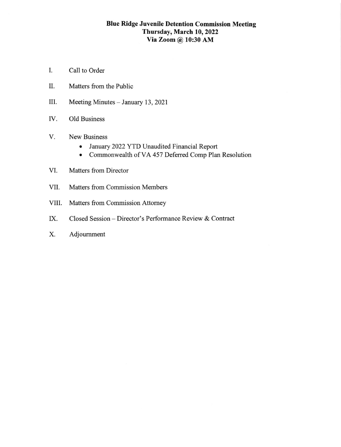# Blue Ridge Juvenile Detention Commission Meeting Thursday, March 10, 2022 YiaZoom@ 10:30 AM

- I. Call to Order
- II. Matters from the Public
- III. Meeting Minutes - January 13, 2021
- IV Old Business
- V. New Business
	- January 2022 YTD Unaudited Financial Report
	- o Commonwealth of VA 457 Deferred Comp Plan Resolution
- VI. Matters from Director
- VII. Matters from Commission Members
- VIII. Matters fiom Commission Attomey
- IX. Closed Session Director's Performance Review & Contract
- X. Adjoumment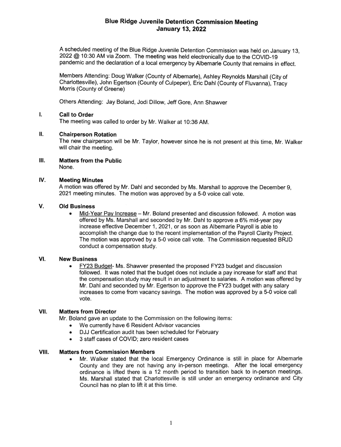## Blue Ridge Juvenile Detention Commission Meeting January 13,2022

A scheduled meeting of the Blue Ridge Juvenile Detention Commission was held on January 13, 2022 @ 1O:3O AM via Zoom. The meeting was held electronically due to the COVID-19 pandemic and the declaration of a local emergency by Albemarle county that remains in effect.

Members Attending: Doug Walker (County of Albemarle), Ashtey Reynolds Marshall (City of Charlottesville), John Egertson (County of Culpeper), Eric Dahl (County of Fluvanna), Tracy Morris (County of Greene)

Others Attending: Jay Boland, Jodi Dillow, Jeff Gore, Ann Shawver

#### I. Call to Order

The meeting was called to order by Mr. Walker at 10:36 AM

#### [. Chairperson Rotation

The new chairperson will be Mr. Taylor, however since he is not present at this time, Mr. Walker will chair the meeting.

### Ш. Matters from the Public

None.

#### IV Meeting Minutes

A motion was offered by Mr. Dahl and seconded by Ms. Marshall to approve the December 9, 2021 meeting minutes. The motion was approved by a 5-0 voice call vote.

#### v Old Business

. Mid-Year Pav lncrease - Mr. Boland presented and discussion followed. A motion was offered by Ms. Marshall and seconded by Mr. Dahl to approve a 6% mid-year pay increase effective December 1, 2021 , or as soon as Albemarle Payroll is able to accomplish the change due to the recent implementation of the Payroll Clarity Project. The motion was approved by a 5-0 voice call vote. The Commission requested BRJD conduct a compensation study.

#### VI **New Business**

FY23 Budget- Ms. Shawver presented the proposed FY23 budget and discussion followed. lt was noted that the budget does not include a pay increase for staff and that the compensation study may result in an adjustment to salaries. A motion was offered by Mr. Dahl and seconded by Mr. Egertson to approve the FY23 budget with any salary increases to come from vacancy savings. The motion was approved by a 5-0 voice call vote.

#### v[. Matters from Director

Mr. Boland gave an update to the Commission on the following items

- . We currently have 6 Resident Advisor vacancies
- . DJJ Certification audit has been scheduled for February
- 3 staff cases of COVID; zero resident cases

#### VIII. Matters from Commission Members

. Mr. Walker stated that the local Emergency Ordinance is still in place for Albemarle County and they are not having any in-person meetings. After the local emergency ordinance is lifted there is a 12 month period to transition back to in-person meetings. Ms. Marshall stated that Charlottesville is still under an emergency ordinance and City Council has no plan to lift it at this time.